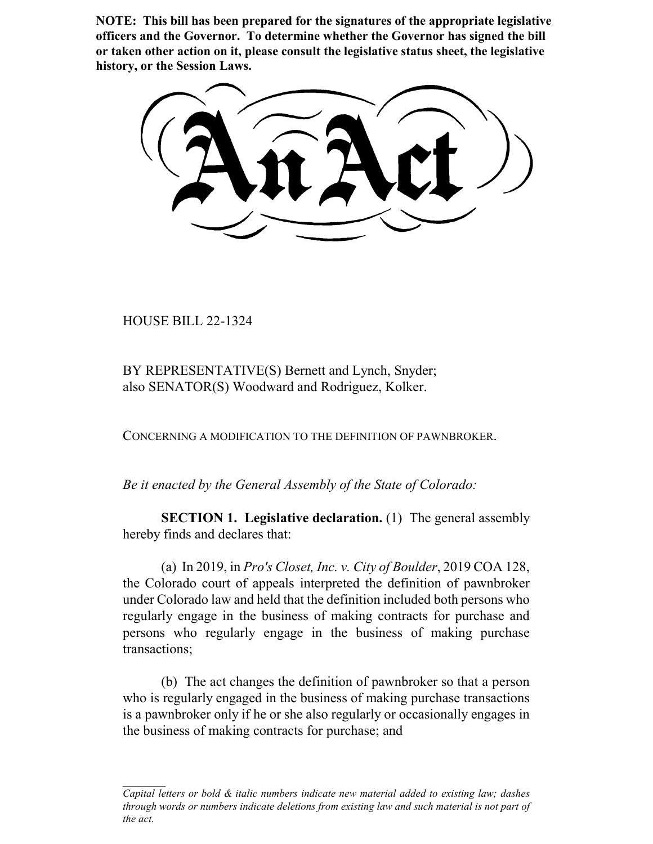**NOTE: This bill has been prepared for the signatures of the appropriate legislative officers and the Governor. To determine whether the Governor has signed the bill or taken other action on it, please consult the legislative status sheet, the legislative history, or the Session Laws.**

HOUSE BILL 22-1324

BY REPRESENTATIVE(S) Bernett and Lynch, Snyder; also SENATOR(S) Woodward and Rodriguez, Kolker.

CONCERNING A MODIFICATION TO THE DEFINITION OF PAWNBROKER.

*Be it enacted by the General Assembly of the State of Colorado:*

**SECTION 1. Legislative declaration.** (1) The general assembly hereby finds and declares that:

(a) In 2019, in *Pro's Closet, Inc. v. City of Boulder*, 2019 COA 128, the Colorado court of appeals interpreted the definition of pawnbroker under Colorado law and held that the definition included both persons who regularly engage in the business of making contracts for purchase and persons who regularly engage in the business of making purchase transactions;

(b) The act changes the definition of pawnbroker so that a person who is regularly engaged in the business of making purchase transactions is a pawnbroker only if he or she also regularly or occasionally engages in the business of making contracts for purchase; and

*Capital letters or bold & italic numbers indicate new material added to existing law; dashes through words or numbers indicate deletions from existing law and such material is not part of the act.*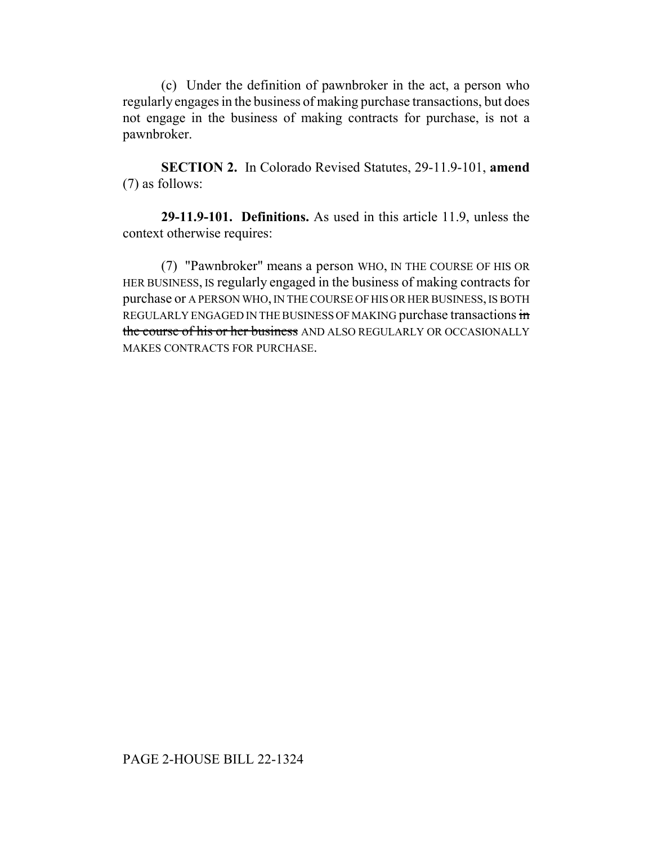(c) Under the definition of pawnbroker in the act, a person who regularly engages in the business of making purchase transactions, but does not engage in the business of making contracts for purchase, is not a pawnbroker.

**SECTION 2.** In Colorado Revised Statutes, 29-11.9-101, **amend** (7) as follows:

**29-11.9-101. Definitions.** As used in this article 11.9, unless the context otherwise requires:

(7) "Pawnbroker" means a person WHO, IN THE COURSE OF HIS OR HER BUSINESS, IS regularly engaged in the business of making contracts for purchase or A PERSON WHO, IN THE COURSE OF HIS OR HER BUSINESS, IS BOTH REGULARLY ENGAGED IN THE BUSINESS OF MAKING purchase transactions in the course of his or her business AND ALSO REGULARLY OR OCCASIONALLY MAKES CONTRACTS FOR PURCHASE.